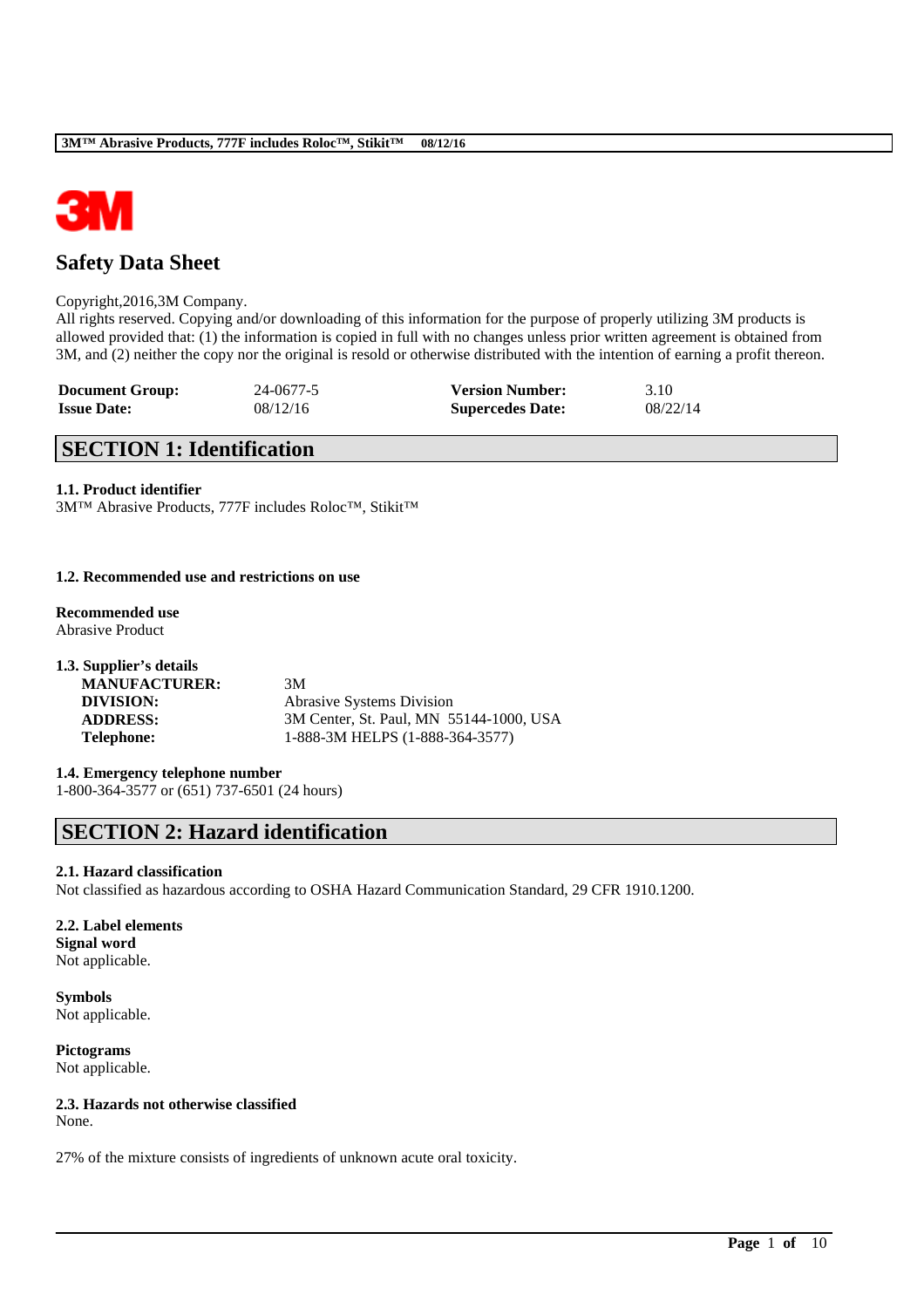

# **Safety Data Sheet**

### Copyright,2016,3M Company.

All rights reserved. Copying and/or downloading of this information for the purpose of properly utilizing 3M products is allowed provided that: (1) the information is copied in full with no changes unless prior written agreement is obtained from 3M, and (2) neither the copy nor the original is resold or otherwise distributed with the intention of earning a profit thereon.

| <b>Document Group:</b> | 24-0677-5 | <b>Version Number:</b>  | 3.10     |
|------------------------|-----------|-------------------------|----------|
| <b>Issue Date:</b>     | 08/12/16  | <b>Supercedes Date:</b> | 08/22/14 |

# **SECTION 1: Identification**

## **1.1. Product identifier**

3M™ Abrasive Products, 777F includes Roloc™, Stikit™

## **1.2. Recommended use and restrictions on use**

**Recommended use** Abrasive Product

| 1.3. Supplier's details |                                         |
|-------------------------|-----------------------------------------|
| <b>MANUFACTURER:</b>    | 3M                                      |
| DIVISION:               | <b>Abrasive Systems Division</b>        |
| <b>ADDRESS:</b>         | 3M Center, St. Paul, MN 55144-1000, USA |
| <b>Telephone:</b>       | 1-888-3M HELPS (1-888-364-3577)         |

# **1.4. Emergency telephone number**

1-800-364-3577 or (651) 737-6501 (24 hours)

# **SECTION 2: Hazard identification**

### **2.1. Hazard classification**

Not classified as hazardous according to OSHA Hazard Communication Standard, 29 CFR 1910.1200.

\_\_\_\_\_\_\_\_\_\_\_\_\_\_\_\_\_\_\_\_\_\_\_\_\_\_\_\_\_\_\_\_\_\_\_\_\_\_\_\_\_\_\_\_\_\_\_\_\_\_\_\_\_\_\_\_\_\_\_\_\_\_\_\_\_\_\_\_\_\_\_\_\_\_\_\_\_\_\_\_\_\_\_\_\_\_\_\_\_\_

## **2.2. Label elements Signal word** Not applicable.

**Symbols** Not applicable.

**Pictograms** Not applicable.

# **2.3. Hazards not otherwise classified**

None.

27% of the mixture consists of ingredients of unknown acute oral toxicity.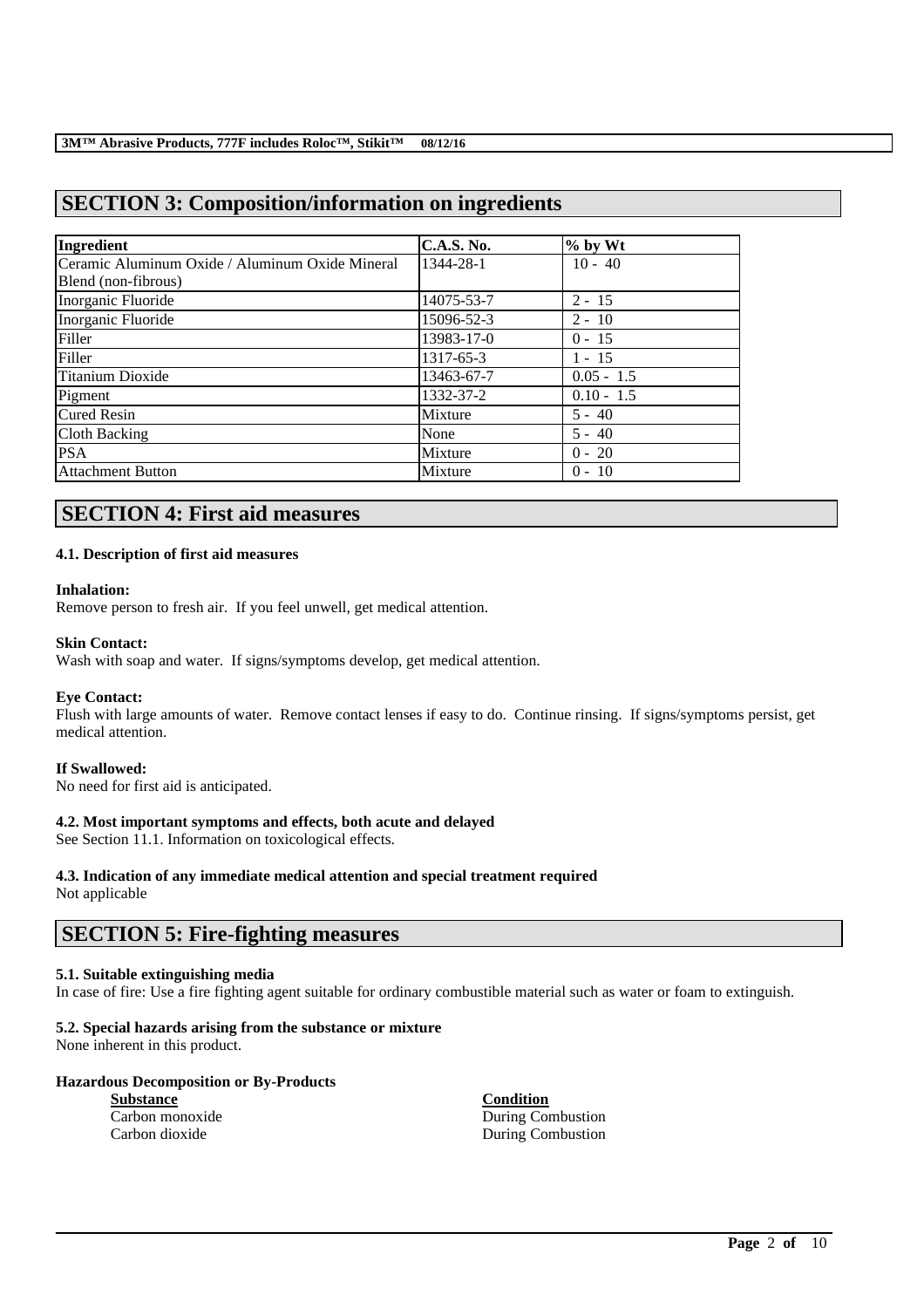# **SECTION 3: Composition/information on ingredients**

| Ingredient                                      | <b>C.A.S. No.</b> | $%$ by Wt    |
|-------------------------------------------------|-------------------|--------------|
| Ceramic Aluminum Oxide / Aluminum Oxide Mineral | 1344-28-1         | $10 - 40$    |
| Blend (non-fibrous)                             |                   |              |
| Inorganic Fluoride                              | 14075-53-7        | $2 - 15$     |
| Inorganic Fluoride                              | 15096-52-3        | $2 - 10$     |
| Filler                                          | 13983-17-0        | $0 - 15$     |
| Filler                                          | 1317-65-3         | $1 - 15$     |
| Titanium Dioxide                                | 13463-67-7        | $0.05 - 1.5$ |
| Pigment                                         | 1332-37-2         | $0.10 - 1.5$ |
| <b>Cured Resin</b>                              | Mixture           | $5 - 40$     |
| Cloth Backing                                   | None              | $5 - 40$     |
| <b>PSA</b>                                      | Mixture           | $0 - 20$     |
| Attachment Button                               | Mixture           | $0 - 10$     |

# **SECTION 4: First aid measures**

## **4.1. Description of first aid measures**

### **Inhalation:**

Remove person to fresh air. If you feel unwell, get medical attention.

### **Skin Contact:**

Wash with soap and water. If signs/symptoms develop, get medical attention.

### **Eye Contact:**

Flush with large amounts of water. Remove contact lenses if easy to do. Continue rinsing. If signs/symptoms persist, get medical attention.

## **If Swallowed:**

No need for first aid is anticipated.

## **4.2. Most important symptoms and effects, both acute and delayed**

See Section 11.1. Information on toxicological effects.

### **4.3. Indication of any immediate medical attention and special treatment required** Not applicable

# **SECTION 5: Fire-fighting measures**

### **5.1. Suitable extinguishing media**

In case of fire: Use a fire fighting agent suitable for ordinary combustible material such as water or foam to extinguish.

\_\_\_\_\_\_\_\_\_\_\_\_\_\_\_\_\_\_\_\_\_\_\_\_\_\_\_\_\_\_\_\_\_\_\_\_\_\_\_\_\_\_\_\_\_\_\_\_\_\_\_\_\_\_\_\_\_\_\_\_\_\_\_\_\_\_\_\_\_\_\_\_\_\_\_\_\_\_\_\_\_\_\_\_\_\_\_\_\_\_

## **5.2. Special hazards arising from the substance or mixture**

None inherent in this product.

## **Hazardous Decomposition or By-Products**

**Substance Condition**

Carbon monoxide During Combustion Carbon dioxide During Combustion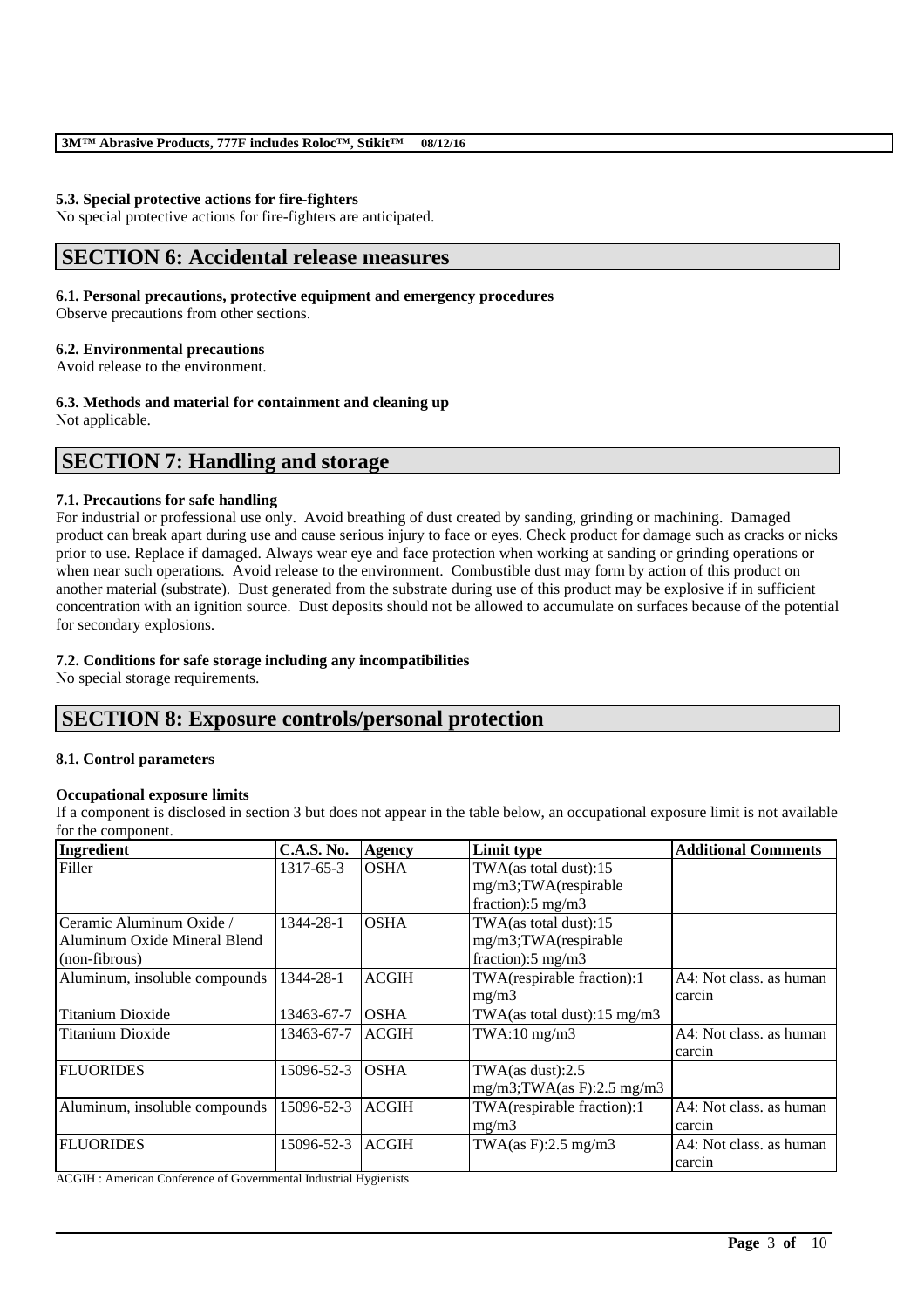## **5.3. Special protective actions for fire-fighters**

No special protective actions for fire-fighters are anticipated.

# **SECTION 6: Accidental release measures**

### **6.1. Personal precautions, protective equipment and emergency procedures**

Observe precautions from other sections.

## **6.2. Environmental precautions**

Avoid release to the environment.

## **6.3. Methods and material for containment and cleaning up**

Not applicable.

# **SECTION 7: Handling and storage**

## **7.1. Precautions for safe handling**

For industrial or professional use only. Avoid breathing of dust created by sanding, grinding or machining. Damaged product can break apart during use and cause serious injury to face or eyes. Check product for damage such as cracks or nicks prior to use. Replace if damaged. Always wear eye and face protection when working at sanding or grinding operations or when near such operations. Avoid release to the environment. Combustible dust may form by action of this product on another material (substrate). Dust generated from the substrate during use of this product may be explosive if in sufficient concentration with an ignition source. Dust deposits should not be allowed to accumulate on surfaces because of the potential for secondary explosions.

## **7.2. Conditions for safe storage including any incompatibilities**

No special storage requirements.

# **SECTION 8: Exposure controls/personal protection**

## **8.1. Control parameters**

## **Occupational exposure limits**

If a component is disclosed in section 3 but does not appear in the table below, an occupational exposure limit is not available for the component.

| Ingredient                    | <b>C.A.S. No.</b> | Agency       | Limit type                              | <b>Additional Comments</b> |
|-------------------------------|-------------------|--------------|-----------------------------------------|----------------------------|
| Filler                        | 1317-65-3         | <b>OSHA</b>  | TWA(as total dust):15                   |                            |
|                               |                   |              | mg/m3;TWA(respirable                    |                            |
|                               |                   |              | fraction): $5 \text{ mg/m}$ 3           |                            |
| Ceramic Aluminum Oxide /      | 1344-28-1         | <b>OSHA</b>  | TWA(as total dust):15                   |                            |
| Aluminum Oxide Mineral Blend  |                   |              | mg/m3;TWA(respirable                    |                            |
| (non-fibrous)                 |                   |              | fraction): $5 \text{ mg/m}$ 3           |                            |
| Aluminum, insoluble compounds | 1344-28-1         | <b>ACGIH</b> | TWA(respirable fraction):1              | A4: Not class, as human    |
|                               |                   |              | mg/m3                                   | carcin                     |
| <b>Titanium Dioxide</b>       | 13463-67-7        | <b>OSHA</b>  | TWA(as total dust): $15 \text{ mg/m}$ 3 |                            |
| <b>Titanium Dioxide</b>       | 13463-67-7        | <b>ACGIH</b> | $TWA:10$ mg/m $3$                       | A4: Not class, as human    |
|                               |                   |              |                                         | carcin                     |
| <b>FLUORIDES</b>              | 15096-52-3        | <b>OSHA</b>  | TWA $(as dust):2.5$                     |                            |
|                               |                   |              | $mg/m3$ ; TWA(as F): 2.5 mg/m3          |                            |
| Aluminum, insoluble compounds | 15096-52-3        | <b>ACGIH</b> | TWA(respirable fraction):1              | A4: Not class. as human    |
|                               |                   |              | mg/m3                                   | carcin                     |
| <b>FLUORIDES</b>              | 15096-52-3        | <b>ACGIH</b> | TWA $(as F): 2.5 mg/m3$                 | A4: Not class, as human    |
|                               |                   |              |                                         | carcin                     |

\_\_\_\_\_\_\_\_\_\_\_\_\_\_\_\_\_\_\_\_\_\_\_\_\_\_\_\_\_\_\_\_\_\_\_\_\_\_\_\_\_\_\_\_\_\_\_\_\_\_\_\_\_\_\_\_\_\_\_\_\_\_\_\_\_\_\_\_\_\_\_\_\_\_\_\_\_\_\_\_\_\_\_\_\_\_\_\_\_\_

ACGIH : American Conference of Governmental Industrial Hygienists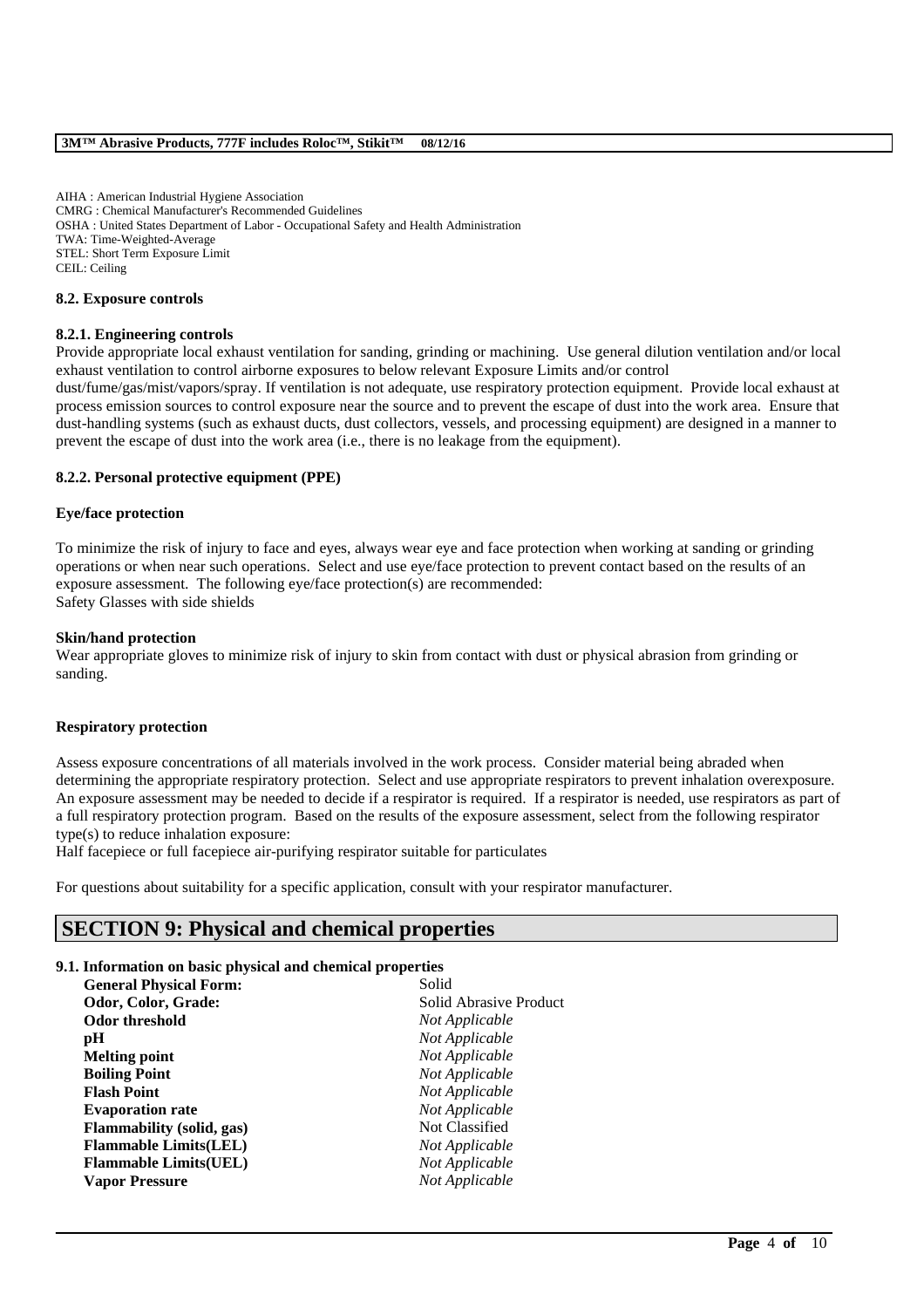AIHA : American Industrial Hygiene Association CMRG : Chemical Manufacturer's Recommended Guidelines OSHA : United States Department of Labor - Occupational Safety and Health Administration TWA: Time-Weighted-Average STEL: Short Term Exposure Limit CEIL: Ceiling

#### **8.2. Exposure controls**

### **8.2.1. Engineering controls**

Provide appropriate local exhaust ventilation for sanding, grinding or machining. Use general dilution ventilation and/or local exhaust ventilation to control airborne exposures to below relevant Exposure Limits and/or control

dust/fume/gas/mist/vapors/spray. If ventilation is not adequate, use respiratory protection equipment. Provide local exhaust at process emission sources to control exposure near the source and to prevent the escape of dust into the work area. Ensure that dust-handling systems (such as exhaust ducts, dust collectors, vessels, and processing equipment) are designed in a manner to prevent the escape of dust into the work area (i.e., there is no leakage from the equipment).

### **8.2.2. Personal protective equipment (PPE)**

### **Eye/face protection**

To minimize the risk of injury to face and eyes, always wear eye and face protection when working at sanding or grinding operations or when near such operations. Select and use eye/face protection to prevent contact based on the results of an exposure assessment. The following eye/face protection(s) are recommended: Safety Glasses with side shields

### **Skin/hand protection**

Wear appropriate gloves to minimize risk of injury to skin from contact with dust or physical abrasion from grinding or sanding.

### **Respiratory protection**

Assess exposure concentrations of all materials involved in the work process. Consider material being abraded when determining the appropriate respiratory protection. Select and use appropriate respirators to prevent inhalation overexposure. An exposure assessment may be needed to decide if a respirator is required. If a respirator is needed, use respirators as part of a full respiratory protection program. Based on the results of the exposure assessment, select from the following respirator type(s) to reduce inhalation exposure:

\_\_\_\_\_\_\_\_\_\_\_\_\_\_\_\_\_\_\_\_\_\_\_\_\_\_\_\_\_\_\_\_\_\_\_\_\_\_\_\_\_\_\_\_\_\_\_\_\_\_\_\_\_\_\_\_\_\_\_\_\_\_\_\_\_\_\_\_\_\_\_\_\_\_\_\_\_\_\_\_\_\_\_\_\_\_\_\_\_\_

Half facepiece or full facepiece air-purifying respirator suitable for particulates

For questions about suitability for a specific application, consult with your respirator manufacturer.

# **SECTION 9: Physical and chemical properties**

## **9.1. Information on basic physical and chemical properties**

| <b>General Physical Form:</b>    | Solid                  |
|----------------------------------|------------------------|
| Odor, Color, Grade:              | Solid Abrasive Product |
| <b>Odor threshold</b>            | Not Applicable         |
| pН                               | Not Applicable         |
| <b>Melting point</b>             | Not Applicable         |
| <b>Boiling Point</b>             | Not Applicable         |
| <b>Flash Point</b>               | Not Applicable         |
| <b>Evaporation rate</b>          | Not Applicable         |
| <b>Flammability</b> (solid, gas) | Not Classified         |
| <b>Flammable Limits(LEL)</b>     | Not Applicable         |
| <b>Flammable Limits(UEL)</b>     | Not Applicable         |
| <b>Vapor Pressure</b>            | Not Applicable         |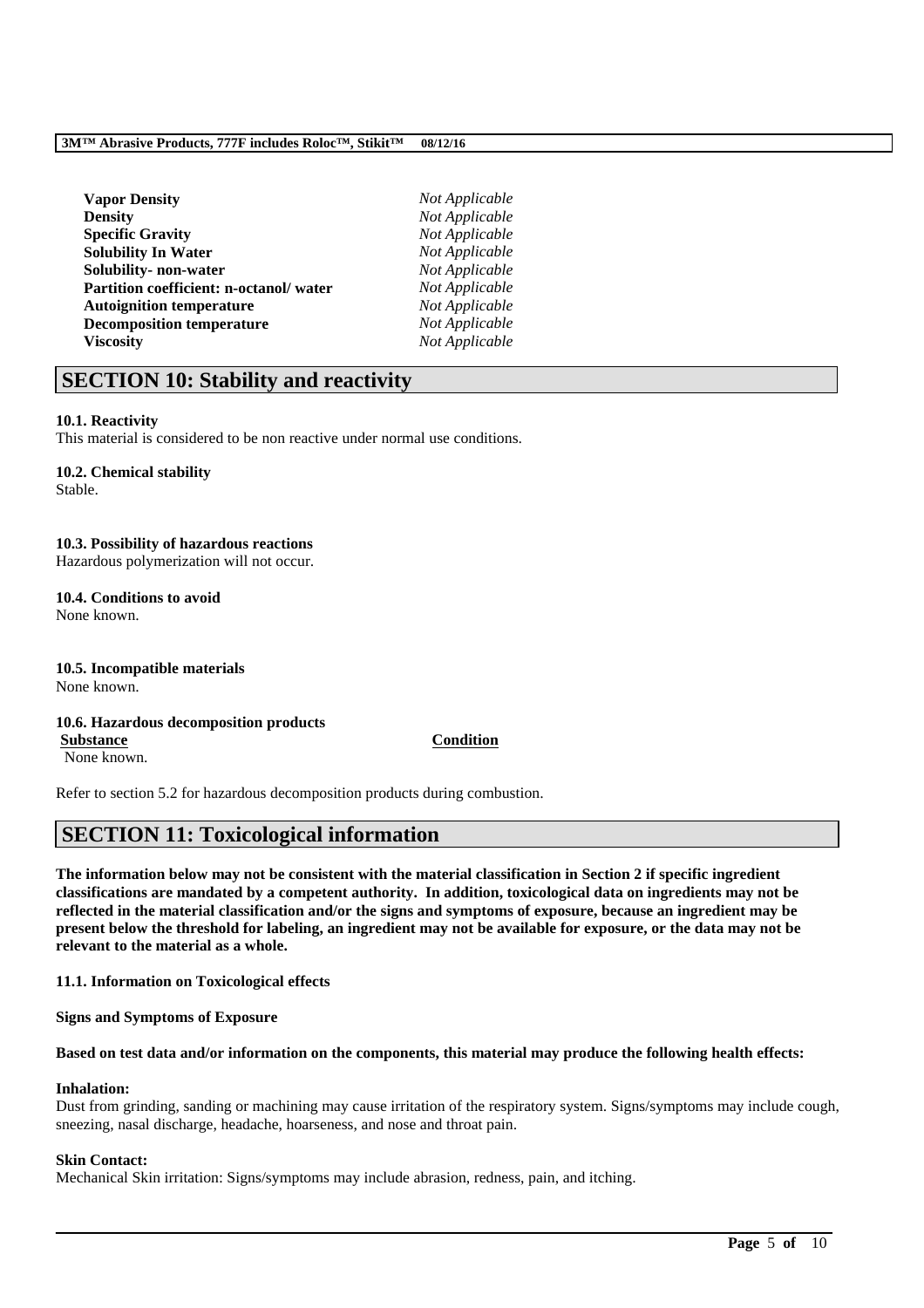| <b>Vapor Density</b>                   | Not Applicable |
|----------------------------------------|----------------|
| <b>Density</b>                         | Not Applicable |
| <b>Specific Gravity</b>                | Not Applicable |
| <b>Solubility In Water</b>             | Not Applicable |
| Solubility- non-water                  | Not Applicable |
| Partition coefficient: n-octanol/water | Not Applicable |
| <b>Autoignition temperature</b>        | Not Applicable |
| <b>Decomposition temperature</b>       | Not Applicable |
| <b>Viscosity</b>                       | Not Applicable |
|                                        |                |

# **SECTION 10: Stability and reactivity**

## **10.1. Reactivity**

This material is considered to be non reactive under normal use conditions.

## **10.2. Chemical stability**

Stable.

## **10.3. Possibility of hazardous reactions**

Hazardous polymerization will not occur.

#### **10.4. Conditions to avoid** None known.

**10.5. Incompatible materials**

None known.

### **10.6. Hazardous decomposition products Substance Condition**

None known.

Refer to section 5.2 for hazardous decomposition products during combustion.

# **SECTION 11: Toxicological information**

**The information below may not be consistent with the material classification in Section 2 if specific ingredient classifications are mandated by a competent authority. In addition, toxicological data on ingredients may not be reflected in the material classification and/or the signs and symptoms of exposure, because an ingredient may be present below the threshold for labeling, an ingredient may not be available for exposure, or the data may not be relevant to the material as a whole.**

**11.1. Information on Toxicological effects**

**Signs and Symptoms of Exposure**

## **Based on test data and/or information on the components, this material may produce the following health effects:**

# **Inhalation:**

Dust from grinding, sanding or machining may cause irritation of the respiratory system. Signs/symptoms may include cough, sneezing, nasal discharge, headache, hoarseness, and nose and throat pain.

\_\_\_\_\_\_\_\_\_\_\_\_\_\_\_\_\_\_\_\_\_\_\_\_\_\_\_\_\_\_\_\_\_\_\_\_\_\_\_\_\_\_\_\_\_\_\_\_\_\_\_\_\_\_\_\_\_\_\_\_\_\_\_\_\_\_\_\_\_\_\_\_\_\_\_\_\_\_\_\_\_\_\_\_\_\_\_\_\_\_

# **Skin Contact:**

Mechanical Skin irritation: Signs/symptoms may include abrasion, redness, pain, and itching.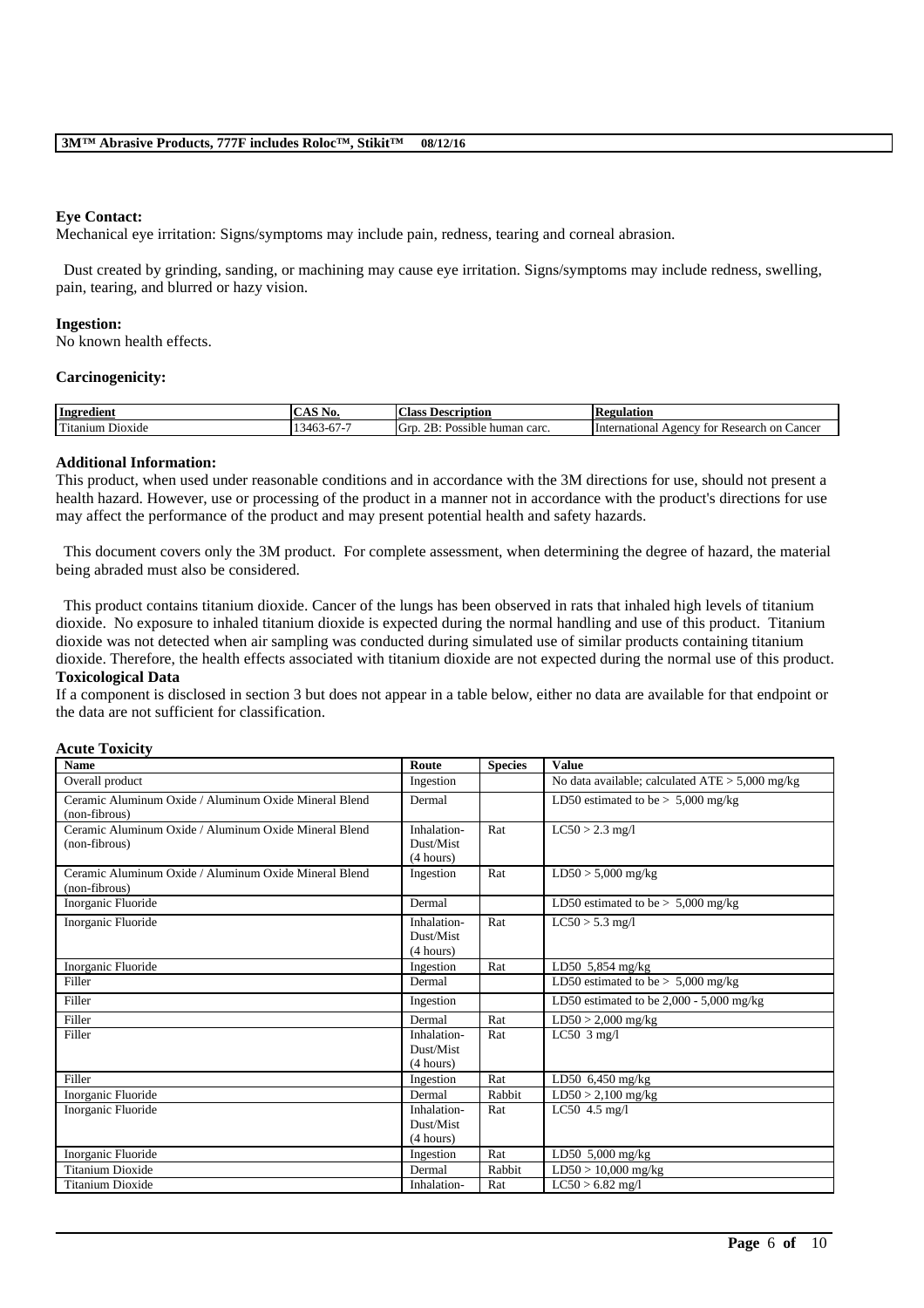### **Eye Contact:**

Mechanical eye irritation: Signs/symptoms may include pain, redness, tearing and corneal abrasion.

Dust created by grinding, sanding, or machining may cause eye irritation. Signs/symptoms may include redness, swelling, pain, tearing, and blurred or hazy vision.

#### **Ingestion:**

No known health effects.

#### **Carcinogenicity:**

| Ingredient                                        | $\sim$ $\sim$ $\sim$<br>-<br>IND.<br>$\cdots$                   | ∼<br>Aass:<br>eription<br>Desc                                              | 'egulation<br>w                                         |
|---------------------------------------------------|-----------------------------------------------------------------|-----------------------------------------------------------------------------|---------------------------------------------------------|
| <b>CONTACT</b><br>D <sub>10X1</sub> de<br>itanium | $\sim$ 4 $\sim$ $\sim$<br>$\sqrt{6}$<br>.<br>$\mathbf{v}$<br>᠇୰ | $\mathcal{D} \mathbf{D}$<br>$\sqrt{2}$<br>. Git″<br>human carc.<br>Possible | Cancer<br>International<br>Research on<br>vgency<br>TOI |

#### **Additional Information:**

This product, when used under reasonable conditions and in accordance with the 3M directions for use, should not present a health hazard. However, use or processing of the product in a manner not in accordance with the product's directions for use may affect the performance of the product and may present potential health and safety hazards.

This document covers only the 3M product. For complete assessment, when determining the degree of hazard, the material being abraded must also be considered.

This product contains titanium dioxide. Cancer of the lungs has been observed in rats that inhaled high levels of titanium dioxide. No exposure to inhaled titanium dioxide is expected during the normal handling and use of this product. Titanium dioxide was not detected when air sampling was conducted during simulated use of similar products containing titanium dioxide. Therefore, the health effects associated with titanium dioxide are not expected during the normal use of this product. **Toxicological Data**

If a component is disclosed in section 3 but does not appear in a table below, either no data are available for that endpoint or the data are not sufficient for classification.

### **Acute Toxicity**

| <b>Name</b>                                                            | Route                                 | <b>Species</b> | <b>Value</b>                                      |
|------------------------------------------------------------------------|---------------------------------------|----------------|---------------------------------------------------|
| Overall product                                                        | Ingestion                             |                | No data available; calculated $ATE > 5,000$ mg/kg |
| Ceramic Aluminum Oxide / Aluminum Oxide Mineral Blend<br>(non-fibrous) | Dermal                                |                | LD50 estimated to be $> 5,000$ mg/kg              |
| Ceramic Aluminum Oxide / Aluminum Oxide Mineral Blend<br>(non-fibrous) | Inhalation-<br>Dust/Mist<br>(4 hours) | Rat            | $LC50 > 2.3$ mg/l                                 |
| Ceramic Aluminum Oxide / Aluminum Oxide Mineral Blend<br>(non-fibrous) | Ingestion                             | Rat            | $LD50 > 5,000$ mg/kg                              |
| Inorganic Fluoride                                                     | Dermal                                |                | LD50 estimated to be $> 5,000$ mg/kg              |
| Inorganic Fluoride                                                     | Inhalation-<br>Dust/Mist<br>(4 hours) | Rat            | $LC50 > 5.3$ mg/l                                 |
| Inorganic Fluoride                                                     | Ingestion                             | Rat            | LD50 $5,854$ mg/kg                                |
| Filler                                                                 | Dermal                                |                | LD50 estimated to be $> 5,000$ mg/kg              |
| Filler                                                                 | Ingestion                             |                | LD50 estimated to be $2,000 - 5,000$ mg/kg        |
| Filler                                                                 | Dermal                                | Rat            | $LD50 > 2,000$ mg/kg                              |
| Filler                                                                 | Inhalation-<br>Dust/Mist<br>(4 hours) | Rat            | LC50 $3 \text{ mg/l}$                             |
| Filler                                                                 | Ingestion                             | Rat            | LD50 $6,450$ mg/kg                                |
| Inorganic Fluoride                                                     | Dermal                                | Rabbit         | $LD50 > 2,100$ mg/kg                              |
| Inorganic Fluoride                                                     | Inhalation-<br>Dust/Mist<br>(4 hours) | Rat            | LC50 $4.5$ mg/l                                   |
| Inorganic Fluoride                                                     | Ingestion                             | Rat            | LD50 5,000 mg/kg                                  |
| <b>Titanium Dioxide</b>                                                | Dermal                                | Rabbit         | $LD50 > 10,000$ mg/kg                             |
| <b>Titanium Dioxide</b>                                                | Inhalation-                           | Rat            | $LC50 > 6.82$ mg/l                                |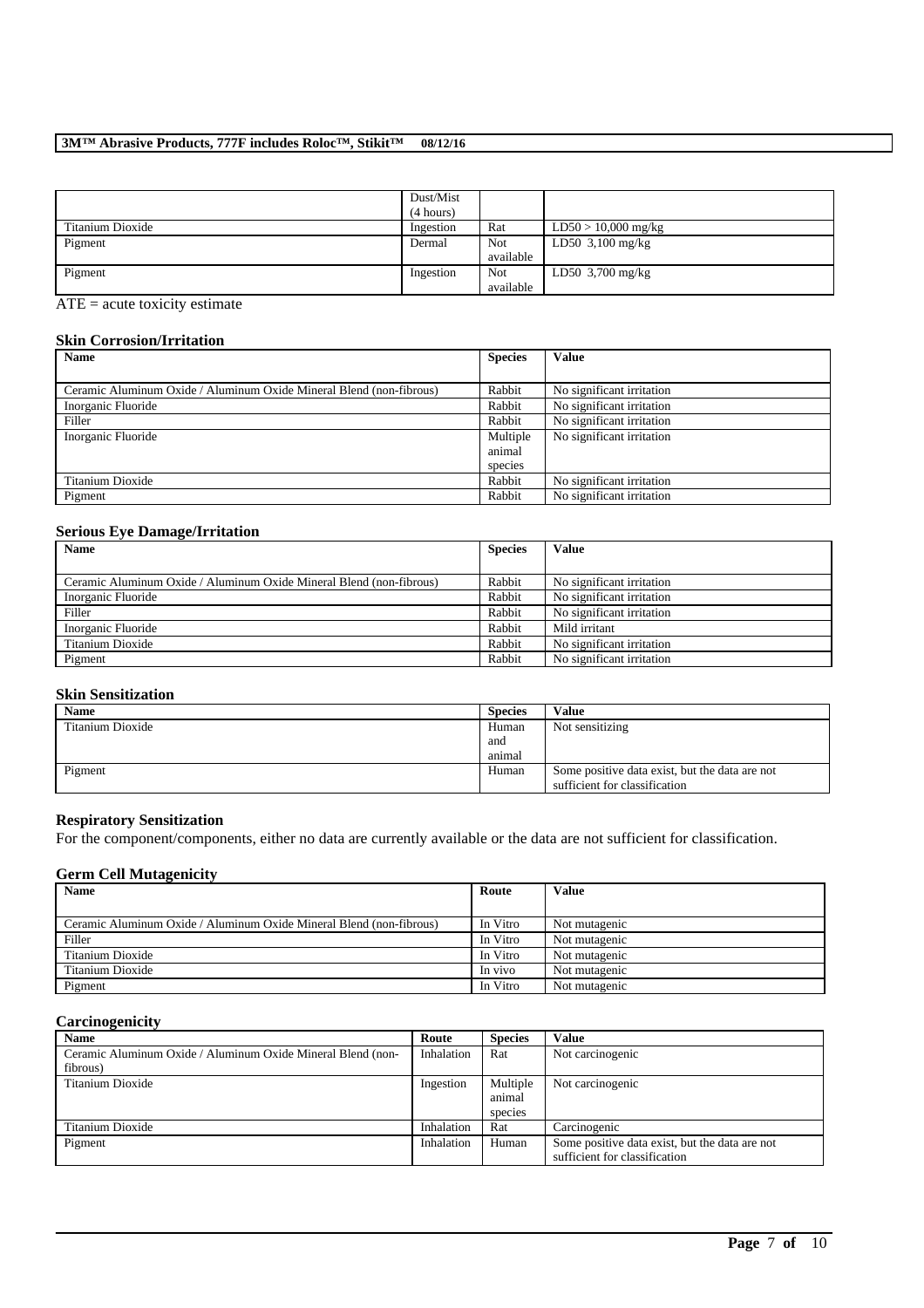|                  | Dust/Mist |           |                            |
|------------------|-----------|-----------|----------------------------|
|                  | (4 hours) |           |                            |
| Titanium Dioxide | Ingestion | Rat       | $LD50 > 10,000$ mg/kg      |
| Pigment          | Dermal    | Not       | LD50 $3,100 \text{ mg/kg}$ |
|                  |           | available |                            |
| Pigment          | Ingestion | Not       | LD50 $3,700$ mg/kg         |
|                  |           | available |                            |

ATE = acute toxicity estimate

## **Skin Corrosion/Irritation**

| Name                                                                | <b>Species</b> | <b>Value</b>              |
|---------------------------------------------------------------------|----------------|---------------------------|
|                                                                     |                |                           |
| Ceramic Aluminum Oxide / Aluminum Oxide Mineral Blend (non-fibrous) | Rabbit         | No significant irritation |
| Inorganic Fluoride                                                  | Rabbit         | No significant irritation |
| Filler                                                              | Rabbit         | No significant irritation |
| Inorganic Fluoride                                                  | Multiple       | No significant irritation |
|                                                                     | animal         |                           |
|                                                                     | species        |                           |
| Titanium Dioxide                                                    | Rabbit         | No significant irritation |
| Pigment                                                             | Rabbit         | No significant irritation |

## **Serious Eye Damage/Irritation**

| $-1 - 1 - 1 = -1$                                                   |        |                           |
|---------------------------------------------------------------------|--------|---------------------------|
| <b>Name</b><br><b>Species</b>                                       |        | <b>Value</b>              |
|                                                                     |        |                           |
| Ceramic Aluminum Oxide / Aluminum Oxide Mineral Blend (non-fibrous) | Rabbit | No significant irritation |
| Inorganic Fluoride                                                  | Rabbit | No significant irritation |
| Filler                                                              | Rabbit | No significant irritation |
| Inorganic Fluoride                                                  | Rabbit | Mild irritant             |
| Titanium Dioxide                                                    | Rabbit | No significant irritation |
| Pigment                                                             | Rabbit | No significant irritation |

## **Skin Sensitization**

| <b>Name</b>      | <b>Species</b> | <b>Value</b>                                   |
|------------------|----------------|------------------------------------------------|
| Titanium Dioxide | Human          | Not sensitizing                                |
|                  | and            |                                                |
|                  | animal         |                                                |
| Pigment          | Human          | Some positive data exist, but the data are not |
|                  |                | sufficient for classification                  |

## **Respiratory Sensitization**

For the component/components, either no data are currently available or the data are not sufficient for classification.

## **Germ Cell Mutagenicity**

| <b>Name</b>                                                         | Route    | Value         |
|---------------------------------------------------------------------|----------|---------------|
|                                                                     |          |               |
| Ceramic Aluminum Oxide / Aluminum Oxide Mineral Blend (non-fibrous) | In Vitro | Not mutagenic |
| Filler                                                              | In Vitro | Not mutagenic |
| Titanium Dioxide                                                    | In Vitro | Not mutagenic |
| Titanium Dioxide                                                    | In vivo  | Not mutagenic |
| Pigment                                                             | In Vitro | Not mutagenic |

## **Carcinogenicity**

| <b>Name</b>                                                 | Route      | <b>Species</b> | Value                                          |
|-------------------------------------------------------------|------------|----------------|------------------------------------------------|
| Ceramic Aluminum Oxide / Aluminum Oxide Mineral Blend (non- | Inhalation | Rat            | Not carcinogenic                               |
| fibrous)                                                    |            |                |                                                |
| Titanium Dioxide                                            | Ingestion  | Multiple       | Not carcinogenic                               |
|                                                             |            | animal         |                                                |
|                                                             |            | species        |                                                |
| Titanium Dioxide                                            | Inhalation | Rat            | Carcinogenic                                   |
| Pigment                                                     | Inhalation | Human          | Some positive data exist, but the data are not |
|                                                             |            |                | sufficient for classification                  |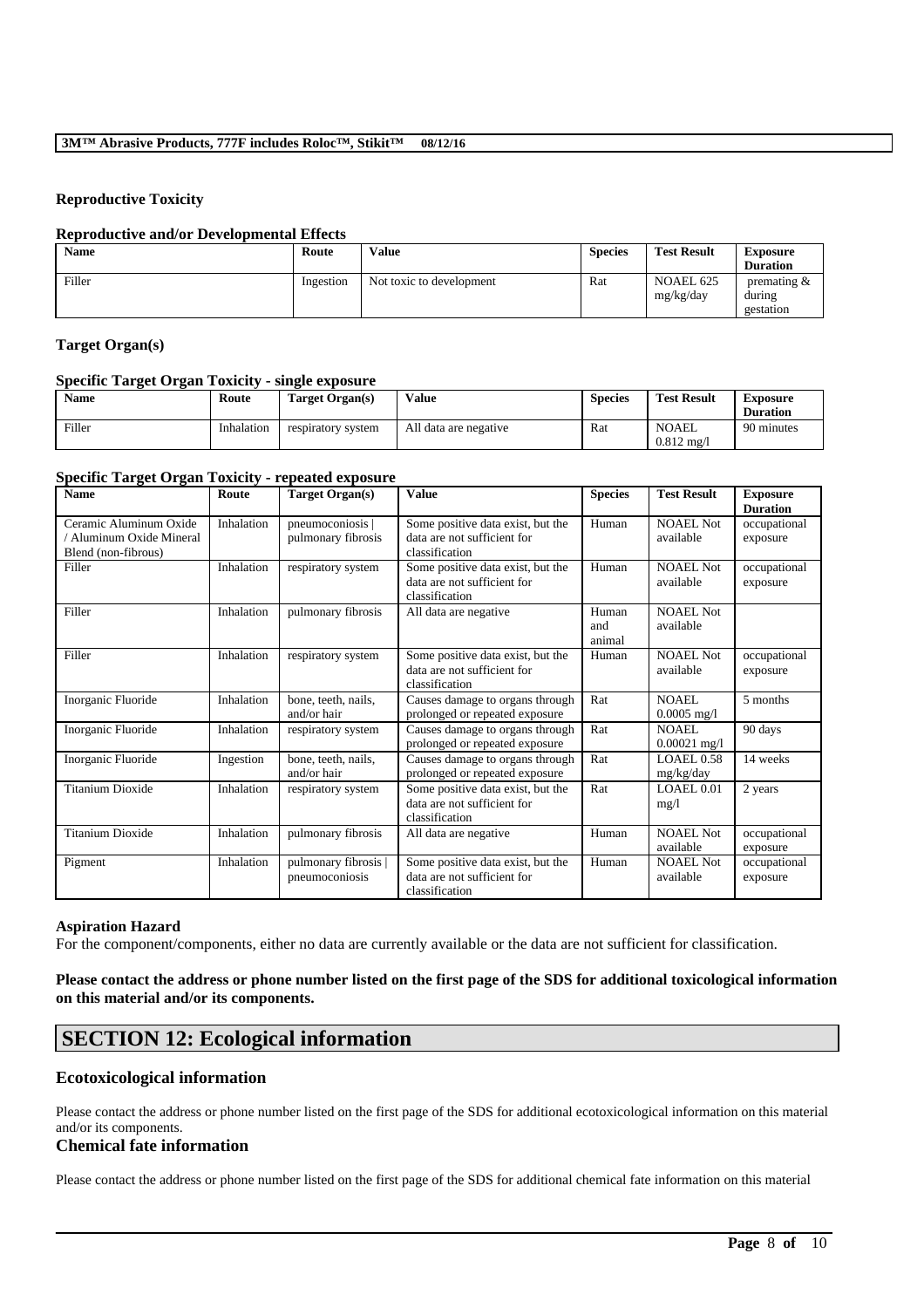## **Reproductive Toxicity**

### **Reproductive and/or Developmental Effects**

| <b>Name</b> | Route     | <b>Value</b>             | <b>Species</b> | <b>Test Result</b>     | <b>Exposure</b><br><b>Duration</b>    |
|-------------|-----------|--------------------------|----------------|------------------------|---------------------------------------|
| Filler      | Ingestion | Not toxic to development | Rat            | NOAEL 625<br>mg/kg/day | premating $\&$<br>during<br>gestation |

## **Target Organ(s)**

## **Specific Target Organ Toxicity - single exposure**

| <b>Name</b> | Route      | Target Organ(s)    | Value                 | <b>Species</b> | <b>Test Result</b>             | Exposure<br><b>Duration</b> |
|-------------|------------|--------------------|-----------------------|----------------|--------------------------------|-----------------------------|
| Filler      | Inhalation | respiratory system | All data are negative | Rat            | NOAEL<br>$0.812 \text{ mg}$ /1 | 90 minutes                  |

### **Specific Target Organ Toxicity - repeated exposure**

| <b>Name</b>                                                             | Route      | <b>Target Organ(s)</b>                 | <b>Value</b>                                                                       | <b>Species</b>         | <b>Test Result</b>            | <b>Exposure</b><br><b>Duration</b> |
|-------------------------------------------------------------------------|------------|----------------------------------------|------------------------------------------------------------------------------------|------------------------|-------------------------------|------------------------------------|
| Ceramic Aluminum Oxide<br>Aluminum Oxide Mineral<br>Blend (non-fibrous) | Inhalation | pneumoconiosis  <br>pulmonary fibrosis | Some positive data exist, but the<br>data are not sufficient for<br>classification | Human                  | <b>NOAEL Not</b><br>available | occupational<br>exposure           |
| Filler                                                                  | Inhalation | respiratory system                     | Some positive data exist, but the<br>data are not sufficient for<br>classification | Human                  | <b>NOAEL Not</b><br>available | occupational<br>exposure           |
| Filler                                                                  | Inhalation | pulmonary fibrosis                     | All data are negative                                                              | Human<br>and<br>animal | <b>NOAEL Not</b><br>available |                                    |
| Filler                                                                  | Inhalation | respiratory system                     | Some positive data exist, but the<br>data are not sufficient for<br>classification | Human                  | <b>NOAEL Not</b><br>available | occupational<br>exposure           |
| Inorganic Fluoride                                                      | Inhalation | bone, teeth, nails,<br>and/or hair     | Causes damage to organs through<br>prolonged or repeated exposure                  | Rat                    | NOAEL<br>$0.0005$ mg/l        | 5 months                           |
| Inorganic Fluoride                                                      | Inhalation | respiratory system                     | Causes damage to organs through<br>prolonged or repeated exposure                  | Rat                    | NOAEL.<br>$0.00021$ mg/l      | 90 days                            |
| Inorganic Fluoride                                                      | Ingestion  | bone, teeth, nails,<br>and/or hair     | Causes damage to organs through<br>prolonged or repeated exposure                  | Rat                    | <b>LOAEL0.58</b><br>mg/kg/day | 14 weeks                           |
| <b>Titanium Dioxide</b>                                                 | Inhalation | respiratory system                     | Some positive data exist, but the<br>data are not sufficient for<br>classification | Rat                    | LOAEL 0.01<br>mg/l            | 2 years                            |
| <b>Titanium Dioxide</b>                                                 | Inhalation | pulmonary fibrosis                     | All data are negative                                                              | Human                  | <b>NOAEL Not</b><br>available | occupational<br>exposure           |
| Pigment                                                                 | Inhalation | pulmonary fibrosis  <br>pneumoconiosis | Some positive data exist, but the<br>data are not sufficient for<br>classification | Human                  | <b>NOAEL Not</b><br>available | occupational<br>exposure           |

#### **Aspiration Hazard**

For the component/components, either no data are currently available or the data are not sufficient for classification.

## **Please contact the address or phone number listed on the first page of the SDS for additional toxicological information on this material and/or its components.**

# **SECTION 12: Ecological information**

## **Ecotoxicological information**

Please contact the address or phone number listed on the first page of the SDS for additional ecotoxicological information on this material and/or its components.

### **Chemical fate information**

Please contact the address or phone number listed on the first page of the SDS for additional chemical fate information on this material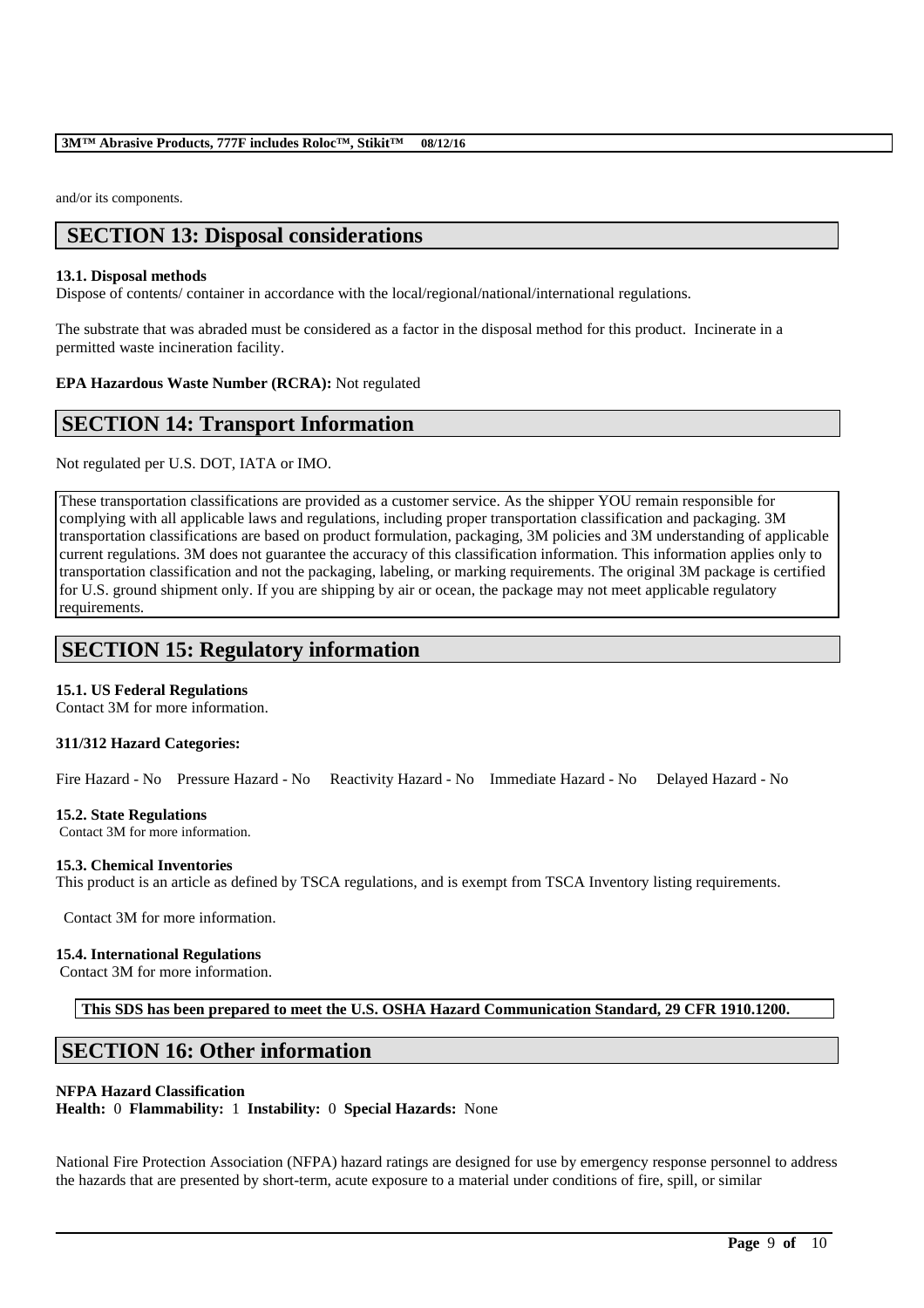and/or its components.

# **SECTION 13: Disposal considerations**

## **13.1. Disposal methods**

Dispose of contents/ container in accordance with the local/regional/national/international regulations.

The substrate that was abraded must be considered as a factor in the disposal method for this product. Incinerate in a permitted waste incineration facility.

## **EPA Hazardous Waste Number (RCRA):** Not regulated

## **SECTION 14: Transport Information**

Not regulated per U.S. DOT, IATA or IMO.

These transportation classifications are provided as a customer service. As the shipper YOU remain responsible for complying with all applicable laws and regulations, including proper transportation classification and packaging. 3M transportation classifications are based on product formulation, packaging, 3M policies and 3M understanding of applicable current regulations. 3M does not guarantee the accuracy of this classification information. This information applies only to transportation classification and not the packaging, labeling, or marking requirements. The original 3M package is certified for U.S. ground shipment only. If you are shipping by air or ocean, the package may not meet applicable regulatory requirements.

# **SECTION 15: Regulatory information**

## **15.1. US Federal Regulations**

Contact 3M for more information.

### **311/312 Hazard Categories:**

Fire Hazard - No Pressure Hazard - No Reactivity Hazard - No Immediate Hazard - No Delayed Hazard - No

### **15.2. State Regulations**

Contact 3M for more information.

### **15.3. Chemical Inventories**

This product is an article as defined by TSCA regulations, and is exempt from TSCA Inventory listing requirements.

Contact 3M for more information.

### **15.4. International Regulations**

Contact 3M for more information.

**This SDS has been prepared to meet the U.S. OSHA Hazard Communication Standard, 29 CFR 1910.1200.**

# **SECTION 16: Other information**

### **NFPA Hazard Classification**

**Health:** 0 **Flammability:** 1 **Instability:** 0 **Special Hazards:** None

National Fire Protection Association (NFPA) hazard ratings are designed for use by emergency response personnel to address the hazards that are presented by short-term, acute exposure to a material under conditions of fire, spill, or similar